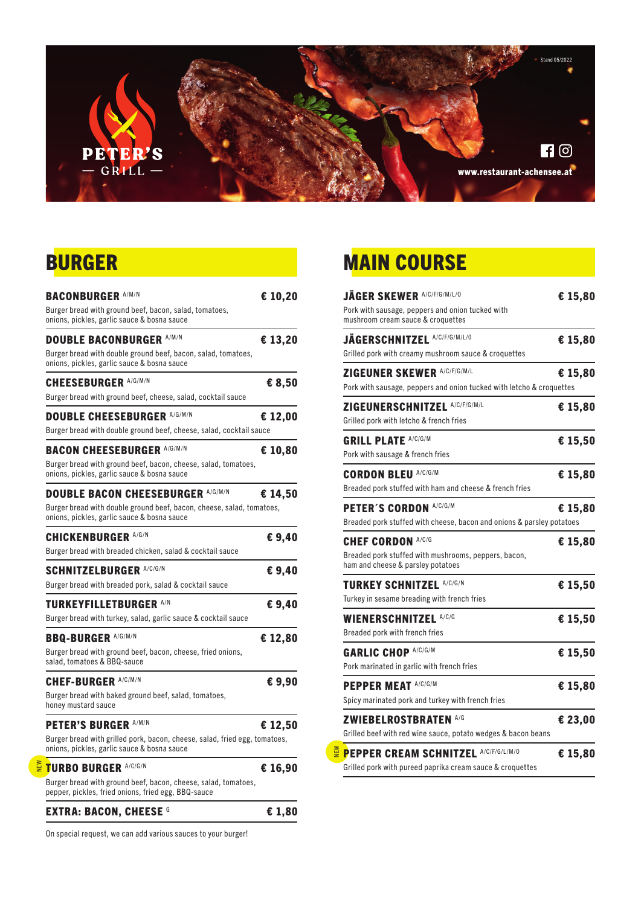

### BURGER

| <b>BACONBURGER A/M/N</b>                                                                                                  | € 10,20 |
|---------------------------------------------------------------------------------------------------------------------------|---------|
| Burger bread with ground beef, bacon, salad, tomatoes,<br>onions, pickles, garlic sauce & bosna sauce                     |         |
| <b>DOUBLE BACONBURGER A/M/N</b>                                                                                           | € 13,20 |
| Burger bread with double ground beef, bacon, salad, tomatoes,<br>onions, pickles, garlic sauce & bosna sauce              |         |
| <b>CHEESEBURGER A/G/M/N</b>                                                                                               | € 8,50  |
| Burger bread with ground beef, cheese, salad, cocktail sauce                                                              |         |
| <b>DOUBLE CHEESEBURGER A/G/M/N</b>                                                                                        | € 12,00 |
| Burger bread with double ground beef, cheese, salad, cocktail sauce                                                       |         |
| <b>BACON CHEESEBURGER A/G/M/N</b>                                                                                         | € 10,80 |
| Burger bread with ground beef, bacon, cheese, salad, tomatoes,<br>onions, pickles, garlic sauce & bosna sauce             |         |
| <b>DOUBLE BACON CHEESEBURGER A/G/M/N</b>                                                                                  | € 14,50 |
| Burger bread with double ground beef, bacon, cheese, salad, tomatoes,<br>onions, pickles, garlic sauce & bosna sauce      |         |
| <b>CHICKENBURGER A/G/N</b>                                                                                                | € 9,40  |
| Burger bread with breaded chicken, salad & cocktail sauce                                                                 |         |
| <b>SCHNITZELBURGER A/C/G/N</b>                                                                                            | € 9,40  |
| Burger bread with breaded pork, salad & cocktail sauce                                                                    |         |
| <b>TURKEYFILLETBURGER A/N</b>                                                                                             | € 9,40  |
| Burger bread with turkey, salad, garlic sauce & cocktail sauce                                                            |         |
| <b>BBQ-BURGER A/G/M/N</b>                                                                                                 | € 12,80 |
| Burger bread with ground beef, bacon, cheese, fried onions,<br>salad, tomatoes & BBQ-sauce                                |         |
| <b>CHEF-BURGER A/C/M/N</b>                                                                                                | €9,90   |
| Burger bread with baked ground beef, salad, tomatoes,<br>honey mustard sauce                                              |         |
| <b>PETER'S BURGER A/M/N</b>                                                                                               | € 12,50 |
| Burger bread with grilled pork, bacon, cheese, salad, fried egg, tomatoes,<br>onions, pickles, garlic sauce & bosna sauce |         |
| <b>TURBO BURGER A/C/G/N</b>                                                                                               | € 16,90 |
| Burger bread with ground beef, bacon, cheese, salad, tomatoes,<br>pepper, pickles, fried onions, fried egg, BBQ-sauce     |         |
| <b>EXTRA: BACON, CHEESE G</b>                                                                                             | € 1,80  |

On special request, we can add various sauces to your burger!

NEW

## **MAIN COURSE**

| <b>JÄGER SKEWER A/C/F/G/M/L/0</b><br>Pork with sausage, peppers and onion tucked with<br>mushroom cream sauce & croquettes | € 15,80 |
|----------------------------------------------------------------------------------------------------------------------------|---------|
| JÄGERSCHNITZEL A/C/F/G/M/L/0<br>Grilled pork with creamy mushroom sauce & croquettes                                       | € 15,80 |
| ZIGEUNER SKEWER A/C/F/G/M/L<br>Pork with sausage, peppers and onion tucked with letcho & croquettes                        | € 15,80 |
| ZIGEUNERSCHNITZEL A/C/F/G/M/L<br>Grilled pork with letcho & french fries                                                   | € 15,80 |
| <b>GRILL PLATE A/C/G/M</b><br>Pork with sausage & french fries                                                             | € 15,50 |
| <b>CORDON BLEU A/C/G/M</b><br>Breaded pork stuffed with ham and cheese & french fries                                      | € 15,80 |
| PETER'S CORDON A/C/G/M<br>Breaded pork stuffed with cheese, bacon and onions & parsley potatoes                            | € 15,80 |
| <b>CHEF CORDON A/C/G</b><br>Breaded pork stuffed with mushrooms, peppers, bacon,<br>ham and cheese & parsley potatoes      | € 15,80 |
| <b>TURKEY SCHNITZEL A/C/G/N</b><br>Turkey in sesame breading with french fries                                             | € 15,50 |
| <b>WIENERSCHNITZEL A/C/G</b><br>Breaded pork with french fries                                                             | € 15,50 |
| <b>GARLIC CHOP A/C/G/M</b><br>Pork marinated in garlic with french fries                                                   | € 15,50 |
| <b>PEPPER MEAT A/C/G/M</b><br>Spicy marinated pork and turkey with french fries                                            | € 15,80 |
| <b>ZWIEBELROSTBRATEN A/G</b><br>Grilled beef with red wine sauce, potato wedges & bacon beans                              | € 23,00 |
| <b>PEPPER CREAM SCHNITZEL A/C/F/G/L/M/0</b><br>Grilled pork with pureed paprika cream sauce & croquettes                   | € 15,80 |